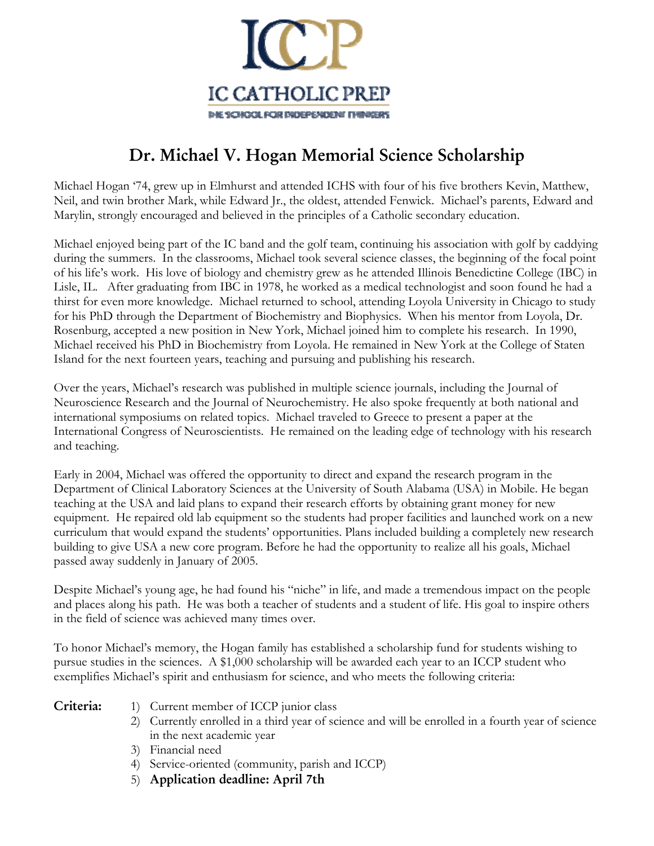

## **Dr. Michael V. Hogan Memorial Science Scholarship**

Michael Hogan '74, grew up in Elmhurst and attended ICHS with four of his five brothers Kevin, Matthew, Neil, and twin brother Mark, while Edward Jr., the oldest, attended Fenwick. Michael's parents, Edward and Marylin, strongly encouraged and believed in the principles of a Catholic secondary education.

Michael enjoyed being part of the IC band and the golf team, continuing his association with golf by caddying during the summers. In the classrooms, Michael took several science classes, the beginning of the focal point of his life's work. His love of biology and chemistry grew as he attended Illinois Benedictine College (IBC) in Lisle, IL. After graduating from IBC in 1978, he worked as a medical technologist and soon found he had a thirst for even more knowledge. Michael returned to school, attending Loyola University in Chicago to study for his PhD through the Department of Biochemistry and Biophysics. When his mentor from Loyola, Dr. Rosenburg, accepted a new position in New York, Michael joined him to complete his research. In 1990, Michael received his PhD in Biochemistry from Loyola. He remained in New York at the College of Staten Island for the next fourteen years, teaching and pursuing and publishing his research.

Over the years, Michael's research was published in multiple science journals, including the Journal of Neuroscience Research and the Journal of Neurochemistry. He also spoke frequently at both national and international symposiums on related topics. Michael traveled to Greece to present a paper at the International Congress of Neuroscientists. He remained on the leading edge of technology with his research and teaching.

Early in 2004, Michael was offered the opportunity to direct and expand the research program in the Department of Clinical Laboratory Sciences at the University of South Alabama (USA) in Mobile. He began teaching at the USA and laid plans to expand their research efforts by obtaining grant money for new equipment. He repaired old lab equipment so the students had proper facilities and launched work on a new curriculum that would expand the students' opportunities. Plans included building a completely new research building to give USA a new core program. Before he had the opportunity to realize all his goals, Michael passed away suddenly in January of 2005.

Despite Michael's young age, he had found his "niche" in life, and made a tremendous impact on the people and places along his path. He was both a teacher of students and a student of life. His goal to inspire others in the field of science was achieved many times over.

To honor Michael's memory, the Hogan family has established a scholarship fund for students wishing to pursue studies in the sciences. A \$1,000 scholarship will be awarded each year to an ICCP student who exemplifies Michael's spirit and enthusiasm for science, and who meets the following criteria:

- **Criteria:** 1) Current member of ICCP junior class
	- 2) Currently enrolled in a third year of science and will be enrolled in a fourth year of science in the next academic year
	- 3) Financial need
	- 4) Service-oriented (community, parish and ICCP)
	- 5) **Application deadline: April 7th**